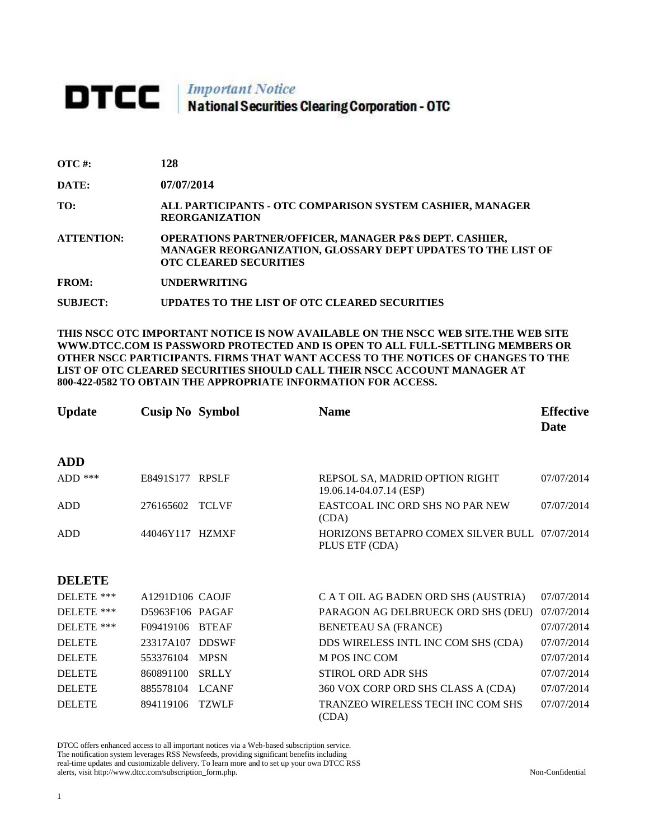## DTCC | Important Notice<br>National Securities Clearing Corporation - OTC

| OTC #: | 128 |
|--------|-----|
|        |     |

**DATE: 07/07/2014**

**TO: ALL PARTICIPANTS - OTC COMPARISON SYSTEM CASHIER, MANAGER REORGANIZATION** 

**ATTENTION: OPERATIONS PARTNER/OFFICER, MANAGER P&S DEPT. CASHIER, MANAGER REORGANIZATION, GLOSSARY DEPT UPDATES TO THE LIST OF OTC CLEARED SECURITIES** 

**FROM: UNDERWRITING**

**SUBJECT: UPDATES TO THE LIST OF OTC CLEARED SECURITIES**

**THIS NSCC OTC IMPORTANT NOTICE IS NOW AVAILABLE ON THE NSCC WEB SITE.THE WEB SITE WWW.DTCC.COM IS PASSWORD PROTECTED AND IS OPEN TO ALL FULL-SETTLING MEMBERS OR OTHER NSCC PARTICIPANTS. FIRMS THAT WANT ACCESS TO THE NOTICES OF CHANGES TO THE LIST OF OTC CLEARED SECURITIES SHOULD CALL THEIR NSCC ACCOUNT MANAGER AT 800-422-0582 TO OBTAIN THE APPROPRIATE INFORMATION FOR ACCESS.** 

| <b>Update</b> | <b>Cusip No Symbol</b> |              | <b>Name</b>                                                     | <b>Effective</b><br>Date |
|---------------|------------------------|--------------|-----------------------------------------------------------------|--------------------------|
| <b>ADD</b>    |                        |              |                                                                 |                          |
| $ADD$ ***     | E8491S177 RPSLF        |              | REPSOL SA, MADRID OPTION RIGHT<br>19.06.14-04.07.14 (ESP)       | 07/07/2014               |
| <b>ADD</b>    | 276165602              | <b>TCLVF</b> | EASTCOAL INC ORD SHS NO PAR NEW<br>(CDA)                        | 07/07/2014               |
| <b>ADD</b>    | 44046Y117 HZMXF        |              | HORIZONS BETAPRO COMEX SILVER BULL 07/07/2014<br>PLUS ETF (CDA) |                          |
| <b>DELETE</b> |                        |              |                                                                 |                          |
| DELETE ***    | $A1291D106$ CAOJF      |              | C A T OIL AG BADEN ORD SHS (AUSTRIA)                            | 07/07/2014               |
| DELETE ***    | D5963F106 PAGAF        |              | PARAGON AG DELBRUECK ORD SHS (DEU)                              | 07/07/2014               |
| DELETE ***    | F09419106              | <b>BTEAF</b> | <b>BENETEAU SA (FRANCE)</b>                                     | 07/07/2014               |
| <b>DELETE</b> | 23317A107              | <b>DDSWF</b> | DDS WIRELESS INTL INC COM SHS (CDA)                             | 07/07/2014               |
| <b>DELETE</b> | 553376104              | <b>MPSN</b>  | M POS INC COM                                                   | 07/07/2014               |

DELETE 860891100 SRLLY STIROL ORD ADR SHS 07/07/2014 DELETE 885578104 LCANF 360 VOX CORP ORD SHS CLASS A (CDA) 07/07/2014 DELETE 894119106 TZWLF TRANZEO WIRELESS TECH INC COM SHS (CDA) 07/07/2014

DTCC offers enhanced access to all important notices via a Web-based subscription service. The notification system leverages RSS Newsfeeds, providing significant benefits including real-time updates and customizable delivery. To learn more and to set up your own DTCC RSS alerts, visit http://www.dtcc.com/subscription\_form.php. Non-Confidential